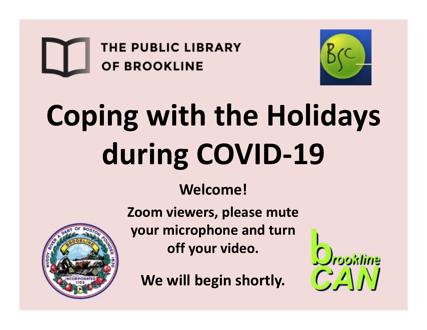



# **Coping with the Holidays during COVID-19**

#### **Welcome!**



**Zoom viewers, please mute your microphone and turn off your video.** 

**We will begin shortly.**

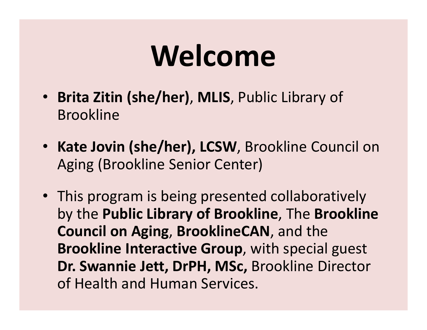#### **Welcome**

- **Brita Zitin (she/her)**, **MLIS**, Public Library of Brookline
- **Kate Jovin (she/her), LCSW**, Brookline Council on Aging (Brookline Senior Center)
- This program is being presented collaboratively by the **Public Library of Brookline**, The **Brookline Council on Aging**, **BrooklineCAN**, and the **Brookline Interactive Group**, with special guest **Dr. Swannie Jett, DrPH, MSc,** Brookline Director of Health and Human Services.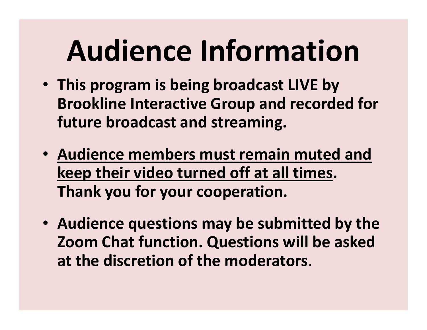## **Audience Information**

- **This program is being broadcast LIVE by Brookline Interactive Group and recorded for future broadcast and streaming.**
- **Audience members must remain muted and keep their video turned off at all times. Thank you for your cooperation.**
- **Audience questions may be submitted by the Zoom Chat function. Questions will be asked at the discretion of the moderators**.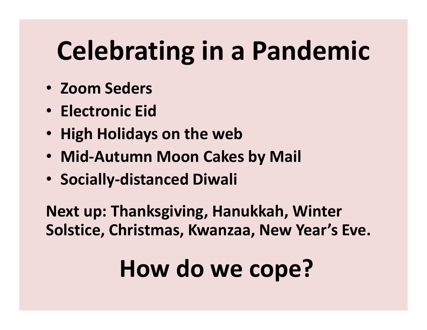#### **Celebrating in a Pandemic**

- **Zoom Seders**
- **Electronic Eid**
- **High Holidays on the web**
- **Mid-Autumn Moon Cakes by Mail**
- **Socially-distanced Diwali**

**Next up: Thanksgiving, Hanukkah, Winter Solstice, Christmas, Kwanzaa, New Year's Eve.** 

#### **How do we cope?**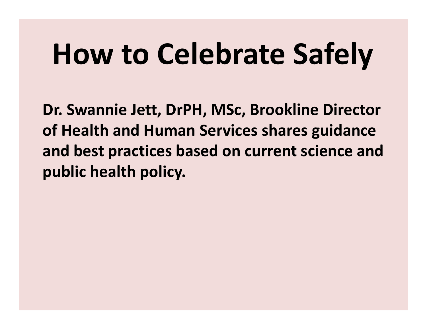## **How to Celebrate Safely**

**Dr. Swannie Jett, DrPH, MSc, Brookline Director of Health and Human Services shares guidance and best practices based on current science and public health policy.**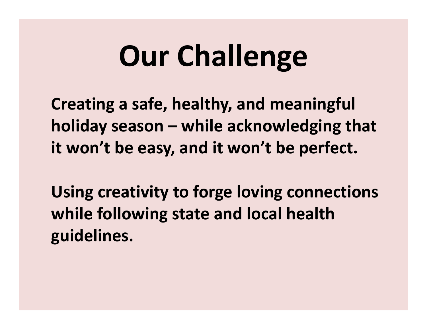## **Our Challenge**

**Creating a safe, healthy, and meaningful holiday season – while acknowledging that it won't be easy, and it won't be perfect.**

**Using creativity to forge loving connections while following state and local health guidelines.**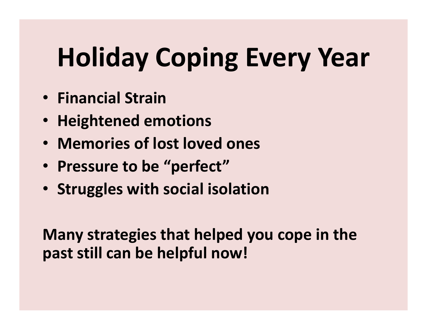#### **Holiday Coping Every Year**

- **Financial Strain**
- **Heightened emotions**
- **Memories of lost loved ones**
- **Pressure to be "perfect"**
- **Struggles with social isolation**

**Many strategies that helped you cope in the past still can be helpful now!**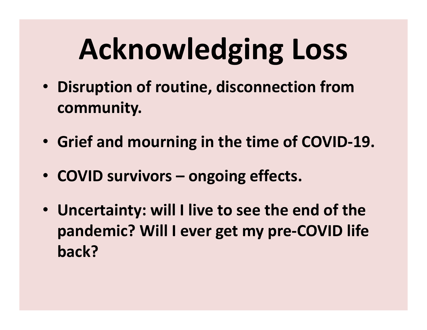# **Acknowledging Loss**

- **Disruption of routine, disconnection from community.**
- **Grief and mourning in the time of COVID-19.**
- **COVID survivors – ongoing effects.**
- **Uncertainty: will I live to see the end of the pandemic? Will I ever get my pre-COVID life back?**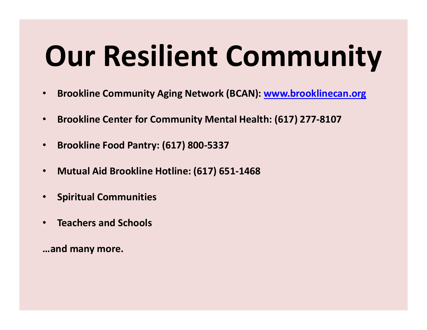## **Our Resilient Community**

- $\bullet$ **Brookline Community Aging Network (BCAN): www.brooklinecan.org**
- $\bullet$ **Brookline Center for Community Mental Health: (617) 277-8107**
- $\bullet$ **Brookline Food Pantry: (617) 800-5337**
- $\bullet$ **Mutual Aid Brookline Hotline: (617) 651-1468**
- $\bullet$ **Spiritual Communities**
- $\bullet$ **Teachers and Schools**

**…and many more.**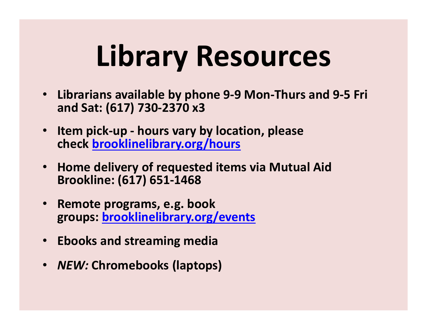## **Library Resources**

- $\bullet$  **Librarians available by phone 9-9 Mon-Thurs and 9-5 Fri and Sat: (617) 730-2370 x3**
- $\bullet$  **Item pick-up - hours vary by location, please check brooklinelibrary.org/hours**
- • **Home delivery of requested items via Mutual Aid Brookline: (617) 651-1468**
- $\bullet$  **Remote programs, e.g. book groups: brooklinelibrary.org/events**
- **Ebooks and streaming media**
- *NEW:* **Chromebooks (laptops)**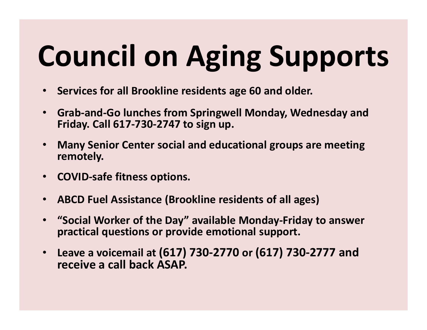# **Council on Aging Supports**

- $\bullet$ **Services for all Brookline residents age 60 and older.**
- $\bullet$  **Grab-and-Go lunches from Springwell Monday, Wednesday and Friday. Call 617-730-2747 to sign up.**
- $\bullet$  **Many Senior Center social and educational groups are meeting remotely.**
- $\bullet$ **COVID-safe fitness options.**
- $\bullet$ **ABCD Fuel Assistance (Brookline residents of all ages)**
- $\bullet$  **"Social Worker of the Day" available Monday-Friday to answer practical questions or provide emotional support.**
- $\bullet$  **Leave a voicemail at (617) 730-2770 or (617) 730-2777 and receive a call back ASAP.**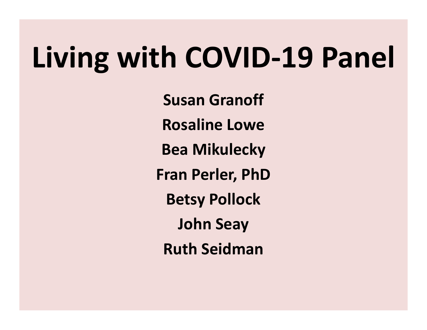#### **Living with COVID-19 Panel**

**Susan GranoffRosaline LoweBea MikuleckyFran Perler, PhDBetsy PollockJohn SeayRuth Seidman**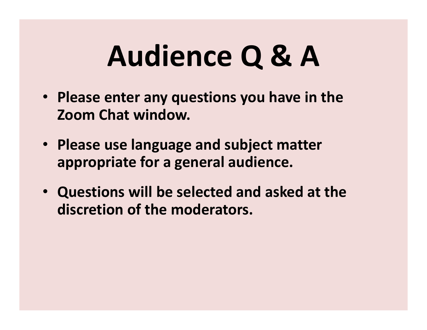## **Audience Q & A**

- **Please enter any questions you have in the Zoom Chat window.**
- **Please use language and subject matter appropriate for a general audience.**
- **Questions will be selected and asked at the discretion of the moderators.**